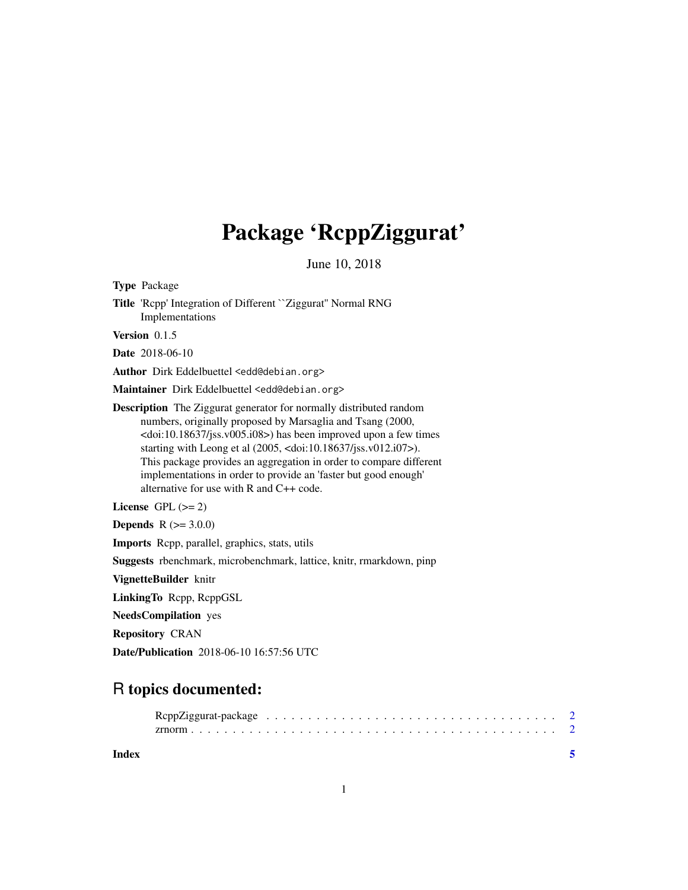# Package 'RcppZiggurat'

June 10, 2018

| <b>Type Package</b>                                                                                                                                                                                                                                                                                                                                                                                                                                                                                       |
|-----------------------------------------------------------------------------------------------------------------------------------------------------------------------------------------------------------------------------------------------------------------------------------------------------------------------------------------------------------------------------------------------------------------------------------------------------------------------------------------------------------|
| Title 'Repp' Integration of Different `Ziggurat'' Normal RNG<br>Implementations                                                                                                                                                                                                                                                                                                                                                                                                                           |
| Version $0.1.5$                                                                                                                                                                                                                                                                                                                                                                                                                                                                                           |
| <b>Date</b> 2018-06-10                                                                                                                                                                                                                                                                                                                                                                                                                                                                                    |
| Author Dirk Eddelbuettel <edd@debian.org></edd@debian.org>                                                                                                                                                                                                                                                                                                                                                                                                                                                |
| Maintainer Dirk Eddelbuettel <edd@debian.org></edd@debian.org>                                                                                                                                                                                                                                                                                                                                                                                                                                            |
| <b>Description</b> The Ziggurat generator for normally distributed random<br>numbers, originally proposed by Marsaglia and Tsang (2000,<br><doi:10.18637 jss.v005.i08="">) has been improved upon a few times<br/>starting with Leong et al (2005, <doi:10.18637 jss.v012.i07="">).<br/>This package provides an aggregation in order to compare different<br/>implementations in order to provide an 'faster but good enough'<br/>alternative for use with R and C++ code.</doi:10.18637></doi:10.18637> |
| License $GPL (= 2)$                                                                                                                                                                                                                                                                                                                                                                                                                                                                                       |
| <b>Depends</b> $R (= 3.0.0)$                                                                                                                                                                                                                                                                                                                                                                                                                                                                              |
| Imports Repp, parallel, graphics, stats, utils                                                                                                                                                                                                                                                                                                                                                                                                                                                            |
| <b>Suggests</b> rbenchmark, microbenchmark, lattice, knitr, rmarkdown, pinp                                                                                                                                                                                                                                                                                                                                                                                                                               |
| VignetteBuilder knitr                                                                                                                                                                                                                                                                                                                                                                                                                                                                                     |
| LinkingTo Repp, ReppGSL                                                                                                                                                                                                                                                                                                                                                                                                                                                                                   |
| <b>NeedsCompilation</b> yes                                                                                                                                                                                                                                                                                                                                                                                                                                                                               |
| <b>Repository CRAN</b>                                                                                                                                                                                                                                                                                                                                                                                                                                                                                    |
| Date/Publication 2018-06-10 16:57:56 UTC                                                                                                                                                                                                                                                                                                                                                                                                                                                                  |
|                                                                                                                                                                                                                                                                                                                                                                                                                                                                                                           |

### R topics documented:

**Index** [5](#page-4-0). The second state of the second state of the second state of the second state of the second state of the second state of the second state of the second state of the second state of the second state of the second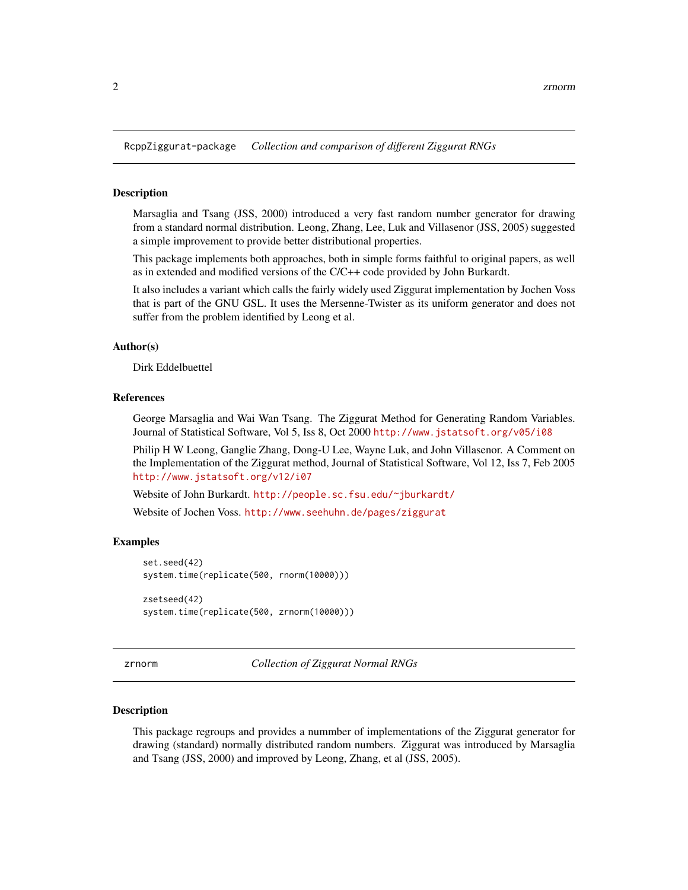<span id="page-1-1"></span><span id="page-1-0"></span>RcppZiggurat-package *Collection and comparison of different Ziggurat RNGs*

#### Description

Marsaglia and Tsang (JSS, 2000) introduced a very fast random number generator for drawing from a standard normal distribution. Leong, Zhang, Lee, Luk and Villasenor (JSS, 2005) suggested a simple improvement to provide better distributional properties.

This package implements both approaches, both in simple forms faithful to original papers, as well as in extended and modified versions of the C/C++ code provided by John Burkardt.

It also includes a variant which calls the fairly widely used Ziggurat implementation by Jochen Voss that is part of the GNU GSL. It uses the Mersenne-Twister as its uniform generator and does not suffer from the problem identified by Leong et al.

#### Author(s)

Dirk Eddelbuettel

#### References

George Marsaglia and Wai Wan Tsang. The Ziggurat Method for Generating Random Variables. Journal of Statistical Software, Vol 5, Iss 8, Oct 2000 <http://www.jstatsoft.org/v05/i08>

Philip H W Leong, Ganglie Zhang, Dong-U Lee, Wayne Luk, and John Villasenor. A Comment on the Implementation of the Ziggurat method, Journal of Statistical Software, Vol 12, Iss 7, Feb 2005 <http://www.jstatsoft.org/v12/i07>

Website of John Burkardt. <http://people.sc.fsu.edu/~jburkardt/>

Website of Jochen Voss. <http://www.seehuhn.de/pages/ziggurat>

#### Examples

```
set.seed(42)
system.time(replicate(500, rnorm(10000)))
zsetseed(42)
system.time(replicate(500, zrnorm(10000)))
```
zrnorm *Collection of Ziggurat Normal RNGs*

#### Description

This package regroups and provides a nummber of implementations of the Ziggurat generator for drawing (standard) normally distributed random numbers. Ziggurat was introduced by Marsaglia and Tsang (JSS, 2000) and improved by Leong, Zhang, et al (JSS, 2005).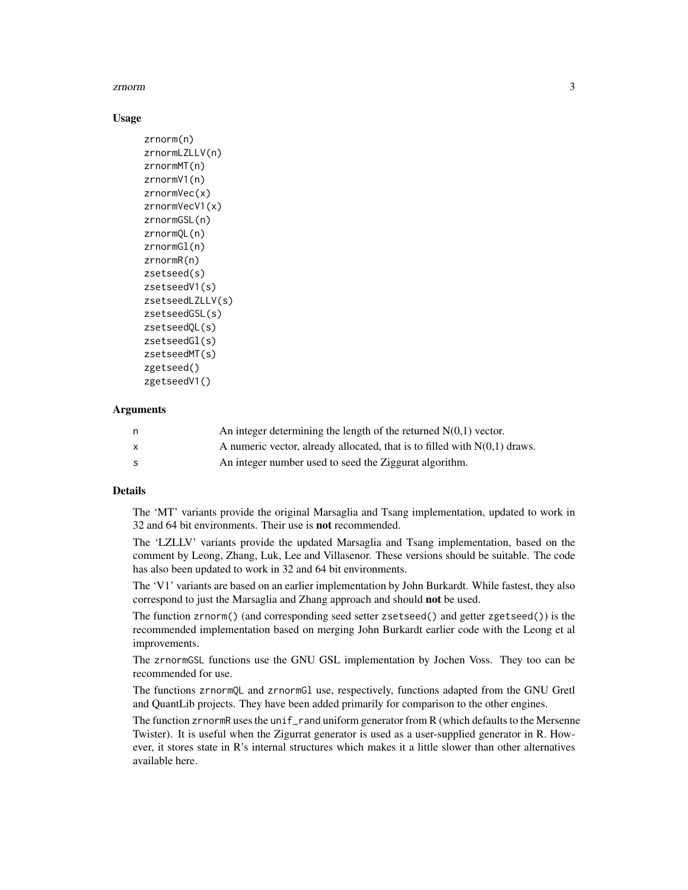#### zrnorm 3

#### Usage

```
zrnorm(n)
zrnormLZLLV(n)
zrnormMT(n)
zrnormV1(n)
zrnormVec(x)
zrnormVecV1(x)
zrnormGSL(n)
zrnormQL(n)
zrnormGl(n)
zrnormR(n)
zsetseed(s)
zsetseedV1(s)
zsetseedLZLLV(s)
zsetseedGSL(s)
zsetseedQL(s)
zsetseedGl(s)
zsetseedMT(s)
zgetseed()
zgetseedV1()
```
#### Arguments

| n | An integer determining the length of the returned $N(0,1)$ vector.          |
|---|-----------------------------------------------------------------------------|
|   | A numeric vector, already allocated, that is to filled with $N(0,1)$ draws. |
| s | An integer number used to seed the Ziggurat algorithm.                      |

#### Details

The 'MT' variants provide the original Marsaglia and Tsang implementation, updated to work in 32 and 64 bit environments. Their use is not recommended.

The 'LZLLV' variants provide the updated Marsaglia and Tsang implementation, based on the comment by Leong, Zhang, Luk, Lee and Villasenor. These versions should be suitable. The code has also been updated to work in 32 and 64 bit environments.

The 'V1' variants are based on an earlier implementation by John Burkardt. While fastest, they also correspond to just the Marsaglia and Zhang approach and should not be used.

The function zrnorm() (and corresponding seed setter zsetseed() and getter zgetseed()) is the recommended implementation based on merging John Burkardt earlier code with the Leong et al improvements.

The zrnormGSL functions use the GNU GSL implementation by Jochen Voss. They too can be recommended for use.

The functions zrnormQL and zrnormGl use, respectively, functions adapted from the GNU Gretl and QuantLib projects. They have been added primarily for comparison to the other engines.

The function zrnormR uses the unif\_rand uniform generator from R (which defaults to the Mersenne Twister). It is useful when the Zigurrat generator is used as a user-supplied generator in R. However, it stores state in R's internal structures which makes it a little slower than other alternatives available here.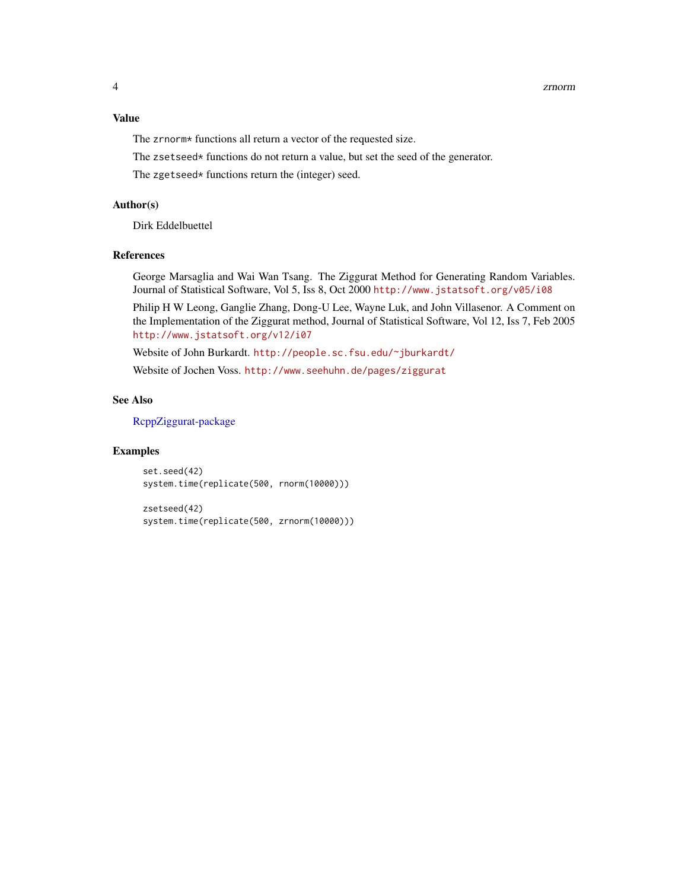#### <span id="page-3-0"></span>Value

The zrnorm\* functions all return a vector of the requested size.

The zsetseed\* functions do not return a value, but set the seed of the generator.

The zgetseed\* functions return the (integer) seed.

#### Author(s)

Dirk Eddelbuettel

#### References

George Marsaglia and Wai Wan Tsang. The Ziggurat Method for Generating Random Variables. Journal of Statistical Software, Vol 5, Iss 8, Oct 2000 <http://www.jstatsoft.org/v05/i08>

Philip H W Leong, Ganglie Zhang, Dong-U Lee, Wayne Luk, and John Villasenor. A Comment on the Implementation of the Ziggurat method, Journal of Statistical Software, Vol 12, Iss 7, Feb 2005 <http://www.jstatsoft.org/v12/i07>

Website of John Burkardt. <http://people.sc.fsu.edu/~jburkardt/>

Website of Jochen Voss. <http://www.seehuhn.de/pages/ziggurat>

#### See Also

[RcppZiggurat-package](#page-1-1)

#### Examples

set.seed(42) system.time(replicate(500, rnorm(10000)))

zsetseed(42) system.time(replicate(500, zrnorm(10000)))